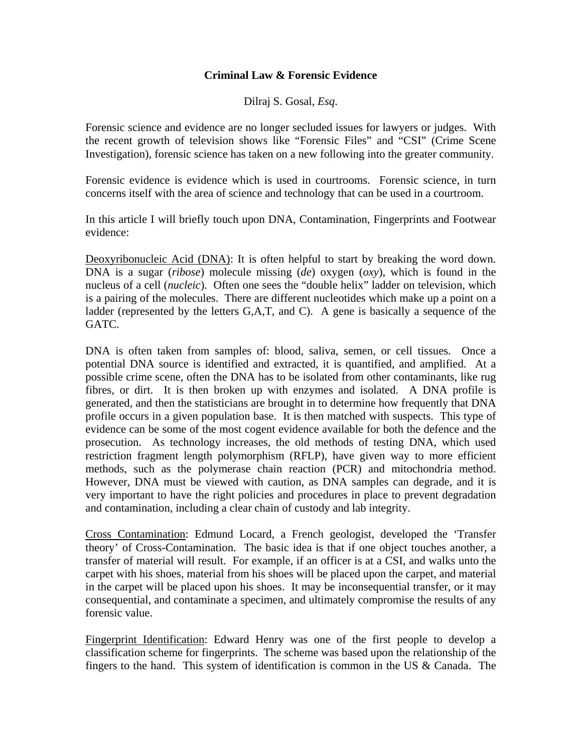## **Criminal Law & Forensic Evidence**

Dilraj S. Gosal, *Esq*.

Forensic science and evidence are no longer secluded issues for lawyers or judges. With the recent growth of television shows like "Forensic Files" and "CSI" (Crime Scene Investigation), forensic science has taken on a new following into the greater community.

Forensic evidence is evidence which is used in courtrooms. Forensic science, in turn concerns itself with the area of science and technology that can be used in a courtroom.

In this article I will briefly touch upon DNA, Contamination, Fingerprints and Footwear evidence:

Deoxyribonucleic Acid (DNA): It is often helpful to start by breaking the word down. DNA is a sugar (*ribose*) molecule missing (*de*) oxygen (*oxy*), which is found in the nucleus of a cell (*nucleic*). Often one sees the "double helix" ladder on television, which is a pairing of the molecules. There are different nucleotides which make up a point on a ladder (represented by the letters G,A,T, and C). A gene is basically a sequence of the GATC.

DNA is often taken from samples of: blood, saliva, semen, or cell tissues. Once a potential DNA source is identified and extracted, it is quantified, and amplified. At a possible crime scene, often the DNA has to be isolated from other contaminants, like rug fibres, or dirt. It is then broken up with enzymes and isolated. A DNA profile is generated, and then the statisticians are brought in to determine how frequently that DNA profile occurs in a given population base. It is then matched with suspects. This type of evidence can be some of the most cogent evidence available for both the defence and the prosecution. As technology increases, the old methods of testing DNA, which used restriction fragment length polymorphism (RFLP), have given way to more efficient methods, such as the polymerase chain reaction (PCR) and mitochondria method. However, DNA must be viewed with caution, as DNA samples can degrade, and it is very important to have the right policies and procedures in place to prevent degradation and contamination, including a clear chain of custody and lab integrity.

Cross Contamination: Edmund Locard, a French geologist, developed the 'Transfer theory' of Cross-Contamination. The basic idea is that if one object touches another, a transfer of material will result. For example, if an officer is at a CSI, and walks unto the carpet with his shoes, material from his shoes will be placed upon the carpet, and material in the carpet will be placed upon his shoes. It may be inconsequential transfer, or it may consequential, and contaminate a specimen, and ultimately compromise the results of any forensic value.

Fingerprint Identification: Edward Henry was one of the first people to develop a classification scheme for fingerprints. The scheme was based upon the relationship of the fingers to the hand. This system of identification is common in the US & Canada. The